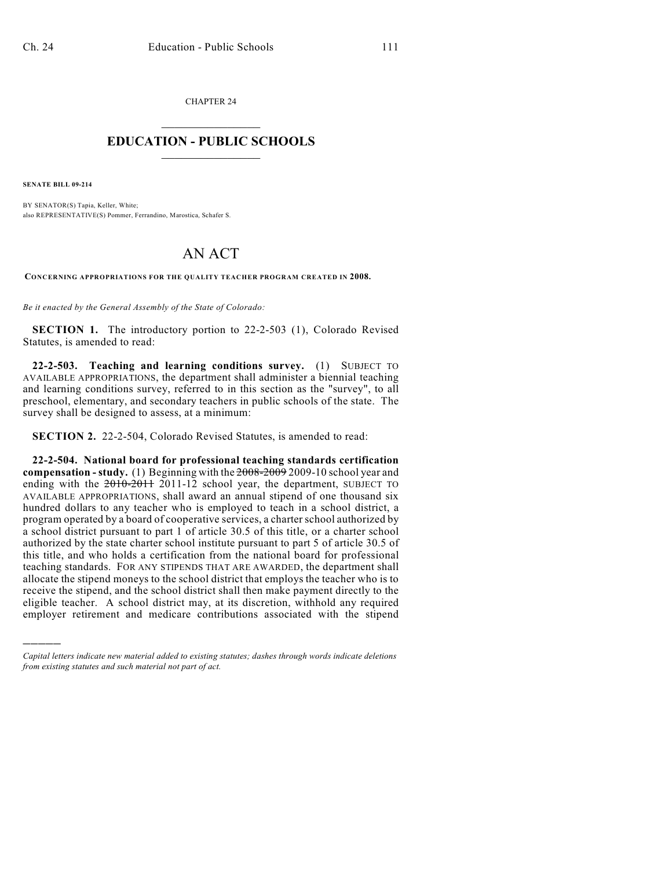CHAPTER 24  $\overline{\phantom{a}}$  . The set of the set of the set of the set of the set of the set of the set of the set of the set of the set of the set of the set of the set of the set of the set of the set of the set of the set of the set o

## **EDUCATION - PUBLIC SCHOOLS**  $\_$   $\_$   $\_$   $\_$   $\_$   $\_$   $\_$   $\_$   $\_$

**SENATE BILL 09-214**

)))))

BY SENATOR(S) Tapia, Keller, White; also REPRESENTATIVE(S) Pommer, Ferrandino, Marostica, Schafer S.

## AN ACT

**CONCERNING APPROPRIATIONS FOR THE QUALITY TEACHER PROGRAM CREATED IN 2008.**

*Be it enacted by the General Assembly of the State of Colorado:*

**SECTION 1.** The introductory portion to 22-2-503 (1), Colorado Revised Statutes, is amended to read:

**22-2-503. Teaching and learning conditions survey.** (1) SUBJECT TO AVAILABLE APPROPRIATIONS, the department shall administer a biennial teaching and learning conditions survey, referred to in this section as the "survey", to all preschool, elementary, and secondary teachers in public schools of the state. The survey shall be designed to assess, at a minimum:

**SECTION 2.** 22-2-504, Colorado Revised Statutes, is amended to read:

**22-2-504. National board for professional teaching standards certification compensation - study.** (1) Beginning with the 2008-2009 2009-10 school year and ending with the  $2010-2011-12$  school year, the department, SUBJECT TO AVAILABLE APPROPRIATIONS, shall award an annual stipend of one thousand six hundred dollars to any teacher who is employed to teach in a school district, a program operated by a board of cooperative services, a charter school authorized by a school district pursuant to part 1 of article 30.5 of this title, or a charter school authorized by the state charter school institute pursuant to part 5 of article 30.5 of this title, and who holds a certification from the national board for professional teaching standards. FOR ANY STIPENDS THAT ARE AWARDED, the department shall allocate the stipend moneys to the school district that employs the teacher who is to receive the stipend, and the school district shall then make payment directly to the eligible teacher. A school district may, at its discretion, withhold any required employer retirement and medicare contributions associated with the stipend

*Capital letters indicate new material added to existing statutes; dashes through words indicate deletions from existing statutes and such material not part of act.*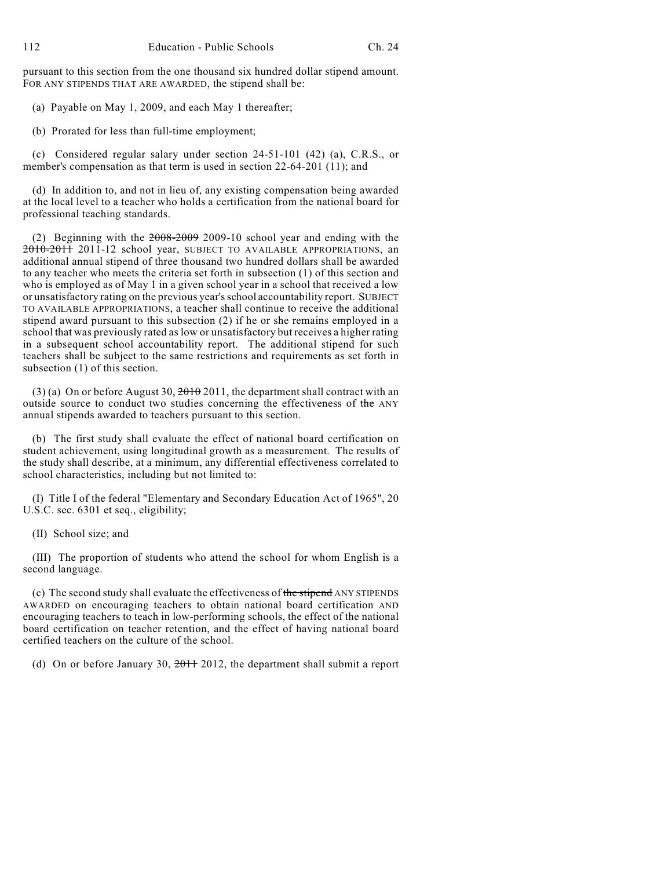pursuant to this section from the one thousand six hundred dollar stipend amount. FOR ANY STIPENDS THAT ARE AWARDED, the stipend shall be:

(a) Payable on May 1, 2009, and each May 1 thereafter;

(b) Prorated for less than full-time employment;

(c) Considered regular salary under section 24-51-101 (42) (a), C.R.S., or member's compensation as that term is used in section 22-64-201 (11); and

(d) In addition to, and not in lieu of, any existing compensation being awarded at the local level to a teacher who holds a certification from the national board for professional teaching standards.

(2) Beginning with the 2008-2009 2009-10 school year and ending with the 2010-2011 2011-12 school year, SUBJECT TO AVAILABLE APPROPRIATIONS, an additional annual stipend of three thousand two hundred dollars shall be awarded to any teacher who meets the criteria set forth in subsection (1) of this section and who is employed as of May 1 in a given school year in a school that received a low or unsatisfactory rating on the previous year's school accountability report. SUBJECT TO AVAILABLE APPROPRIATIONS, a teacher shall continue to receive the additional stipend award pursuant to this subsection (2) if he or she remains employed in a school that was previously rated as low or unsatisfactory but receives a higher rating in a subsequent school accountability report. The additional stipend for such teachers shall be subject to the same restrictions and requirements as set forth in subsection (1) of this section.

(3) (a) On or before August 30,  $2010$ , the department shall contract with an outside source to conduct two studies concerning the effectiveness of the ANY annual stipends awarded to teachers pursuant to this section.

(b) The first study shall evaluate the effect of national board certification on student achievement, using longitudinal growth as a measurement. The results of the study shall describe, at a minimum, any differential effectiveness correlated to school characteristics, including but not limited to:

(I) Title I of the federal "Elementary and Secondary Education Act of 1965", 20 U.S.C. sec. 6301 et seq., eligibility;

(II) School size; and

(III) The proportion of students who attend the school for whom English is a second language.

(c) The second study shall evaluate the effectiveness of the stipend ANY STIPENDS AWARDED on encouraging teachers to obtain national board certification AND encouraging teachers to teach in low-performing schools, the effect of the national board certification on teacher retention, and the effect of having national board certified teachers on the culture of the school.

(d) On or before January 30,  $2011$  2012, the department shall submit a report